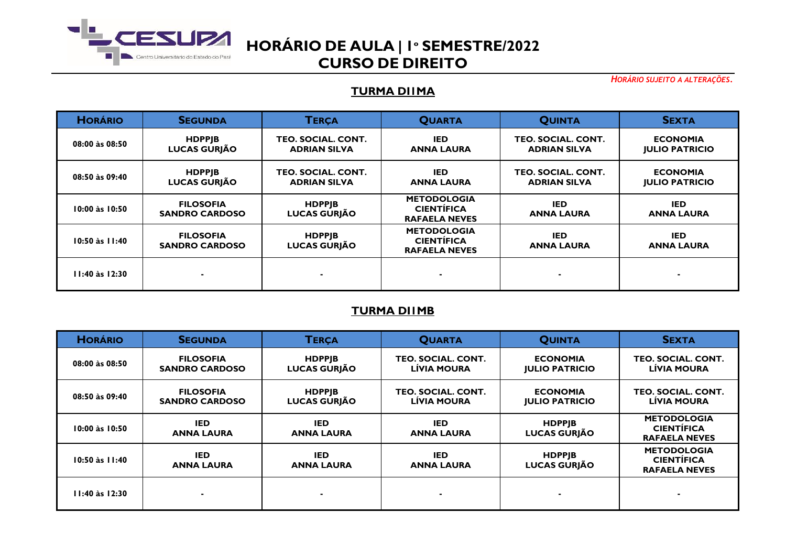

*HORÁRIO SUJEITO A ALTERAÇÕES.*

### **TURMA DI1MA**

| <b>HORÁRIO</b>     | <b>SEGUNDA</b>                            | <b>TERCA</b>                              | <b>QUARTA</b>                                                   | <b>QUINTA</b>                             | <b>SEXTA</b>                             |
|--------------------|-------------------------------------------|-------------------------------------------|-----------------------------------------------------------------|-------------------------------------------|------------------------------------------|
| 08:00 às 08:50     | <b>HDPPJB</b><br><b>LUCAS GURJÃO</b>      | TEO. SOCIAL. CONT.<br><b>ADRIAN SILVA</b> | IED.<br><b>ANNA LAURA</b>                                       | TEO. SOCIAL. CONT.<br><b>ADRIAN SILVA</b> | <b>ECONOMIA</b><br><b>JULIO PATRICIO</b> |
| 08:50 às 09:40     | <b>HDPPJB</b><br><b>LUCAS GURJÃO</b>      | TEO. SOCIAL. CONT.<br><b>ADRIAN SILVA</b> | <b>IED</b><br><b>ANNA LAURA</b>                                 | TEO. SOCIAL. CONT.<br><b>ADRIAN SILVA</b> | <b>ECONOMIA</b><br><b>JULIO PATRICIO</b> |
| 10:00 às 10:50     | <b>FILOSOFIA</b><br><b>SANDRO CARDOSO</b> | <b>HDPPJB</b><br><b>LUCAS GURJÃO</b>      | <b>METODOLOGIA</b><br><b>CIENTÍFICA</b><br><b>RAFAELA NEVES</b> | <b>IED</b><br><b>ANNA LAURA</b>           | <b>IED</b><br><b>ANNA LAURA</b>          |
| $10:50$ às $11:40$ | <b>FILOSOFIA</b><br><b>SANDRO CARDOSO</b> | <b>HDPPJB</b><br><b>LUCAS GURJÃO</b>      | <b>METODOLOGIA</b><br><b>CIENTÍFICA</b><br><b>RAFAELA NEVES</b> | <b>IED</b><br><b>ANNA LAURA</b>           | <b>IED</b><br><b>ANNA LAURA</b>          |
| 11:40 às 12:30     |                                           |                                           |                                                                 | ٠                                         |                                          |

### **TURMA DI1MB**

| <b>HORÁRIO</b>     | <b>SEGUNDA</b>                            | <b>TERÇA</b>                         | <b>QUARTA</b>                            | <b>QUINTA</b>                            | <b>SEXTA</b>                                                    |
|--------------------|-------------------------------------------|--------------------------------------|------------------------------------------|------------------------------------------|-----------------------------------------------------------------|
| 08:00 às 08:50     | <b>FILOSOFIA</b><br><b>SANDRO CARDOSO</b> | <b>HDPPJB</b><br><b>LUCAS GURJÃO</b> | TEO. SOCIAL. CONT.<br><b>LÍVIA MOURA</b> | <b>ECONOMIA</b><br><b>JULIO PATRICIO</b> | TEO. SOCIAL. CONT.<br><b>LÍVIA MOURA</b>                        |
| 08:50 às 09:40     | <b>FILOSOFIA</b><br><b>SANDRO CARDOSO</b> | <b>HDPPJB</b><br><b>LUCAS GURJÃO</b> | TEO. SOCIAL. CONT.<br><b>LÍVIA MOURA</b> | <b>ECONOMIA</b><br><b>JULIO PATRICIO</b> | TEO. SOCIAL. CONT.<br>LÍVIA MOURA                               |
| 10:00 às 10:50     | <b>IED</b><br><b>ANNA LAURA</b>           | <b>IED</b><br><b>ANNA LAURA</b>      | <b>IED</b><br><b>ANNA LAURA</b>          | <b>HDPPIB</b><br><b>LUCAS GURJÃO</b>     | <b>METODOLOGIA</b><br><b>CIENTÍFICA</b><br><b>RAFAELA NEVES</b> |
| $10:50$ às $11:40$ | <b>IED</b><br><b>ANNA LAURA</b>           | <b>IED</b><br><b>ANNA LAURA</b>      | <b>IED</b><br><b>ANNA LAURA</b>          | <b>HDPPIB</b><br><b>LUCAS GURJÃO</b>     | <b>METODOLOGIA</b><br><b>CIENTÍFICA</b><br><b>RAFAELA NEVES</b> |
| $11:40$ às $12:30$ |                                           |                                      |                                          |                                          |                                                                 |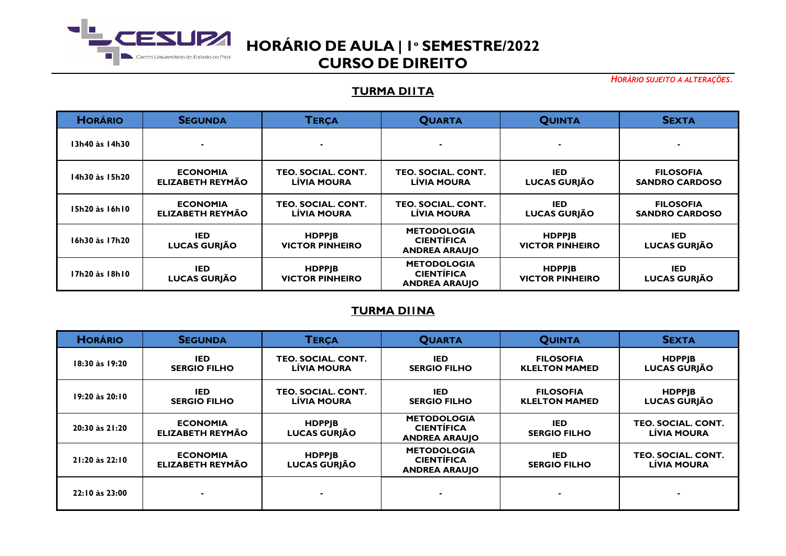

*HORÁRIO SUJEITO A ALTERAÇÕES.*

### **TURMA DI1TA**

| <b>HORÁRIO</b> | <b>SEGUNDA</b>                      | <b>TERÇA</b>                             | <b>QUARTA</b>                                                   | <b>QUINTA</b>                           | <b>SEXTA</b>                              |
|----------------|-------------------------------------|------------------------------------------|-----------------------------------------------------------------|-----------------------------------------|-------------------------------------------|
| I3h40 às 14h30 |                                     |                                          |                                                                 |                                         | -                                         |
| 14h30 às 15h20 | <b>ECONOMIA</b><br>ELIZABETH REYMÃO | TEO. SOCIAL. CONT.<br><b>LÍVIA MOURA</b> | TEO. SOCIAL. CONT.<br><b>LÍVIA MOURA</b>                        | IED<br><b>LUCAS GURJÃO</b>              | <b>FILOSOFIA</b><br><b>SANDRO CARDOSO</b> |
| 15h20 às 16h10 | <b>ECONOMIA</b><br>ELIZABETH REYMÃO | TEO. SOCIAL. CONT.<br><b>LÍVIA MOURA</b> | <b>TEO. SOCIAL. CONT.</b><br><b>LÍVIA MOURA</b>                 | <b>IED</b><br><b>LUCAS GURJÃO</b>       | <b>FILOSOFIA</b><br><b>SANDRO CARDOSO</b> |
| 16h30 às 17h20 | <b>IED</b><br>LUCAS GURJÃO          | <b>HDPPJB</b><br><b>VICTOR PINHEIRO</b>  | <b>METODOLOGIA</b><br><b>CIENTÍFICA</b><br><b>ANDREA ARAUJO</b> | <b>HDPPIB</b><br><b>VICTOR PINHEIRO</b> | IED.<br>LUCAS GURJÃO                      |
| I7h20 às 18h10 | <b>IED</b><br>LUCAS GURJÃO          | <b>HDPPJB</b><br><b>VICTOR PINHEIRO</b>  | <b>METODOLOGIA</b><br><b>CIENTÍFICA</b><br><b>ANDREA ARAUJO</b> | <b>HDPPIB</b><br><b>VICTOR PINHEIRO</b> | IED.<br><b>LUCAS GURJÃO</b>               |

### **TURMA DI1NA**

| <b>HORÁRIO</b> | <b>SEGUNDA</b>                      | <b>TERÇA</b>                             | <b>QUARTA</b>                                                   | <b>QUINTA</b>                            | <b>SEXTA</b>                             |
|----------------|-------------------------------------|------------------------------------------|-----------------------------------------------------------------|------------------------------------------|------------------------------------------|
| 18:30 às 19:20 | <b>IED</b><br><b>SERGIO FILHO</b>   | TEO. SOCIAL. CONT.<br><b>LÍVIA MOURA</b> | <b>IED</b><br><b>SERGIO FILHO</b>                               | <b>FILOSOFIA</b><br><b>KLELTON MAMED</b> | <b>HDPPIB</b><br><b>LUCAS GURJÃO</b>     |
| 19:20 às 20:10 | <b>IED</b><br><b>SERGIO FILHO</b>   | TEO. SOCIAL. CONT.<br>LÍVIA MOURA        | <b>IED</b><br><b>SERGIO FILHO</b>                               | <b>FILOSOFIA</b><br><b>KLELTON MAMED</b> | <b>HDPPJB</b><br><b>LUCAS GURJÃO</b>     |
| 20:30 às 21:20 | <b>ECONOMIA</b><br>ELIZABETH REYMÃO | <b>HDPPJB</b><br><b>LUCAS GURJÃO</b>     | <b>METODOLOGIA</b><br><b>CIENTÍFICA</b><br><b>ANDREA ARAUJO</b> | IED.<br><b>SERGIO FILHO</b>              | TEO. SOCIAL. CONT.<br><b>LÍVIA MOURA</b> |
| 21:20 às 22:10 | <b>ECONOMIA</b><br>ELIZABETH REYMÃO | <b>HDPPJB</b><br><b>LUCAS GURJÃO</b>     | <b>METODOLOGIA</b><br><b>CIENTÍFICA</b><br><b>ANDREA ARAUJO</b> | <b>IED</b><br><b>SERGIO FILHO</b>        | TEO. SOCIAL. CONT.<br><b>LÍVIA MOURA</b> |
| 22:10 às 23:00 |                                     |                                          |                                                                 |                                          |                                          |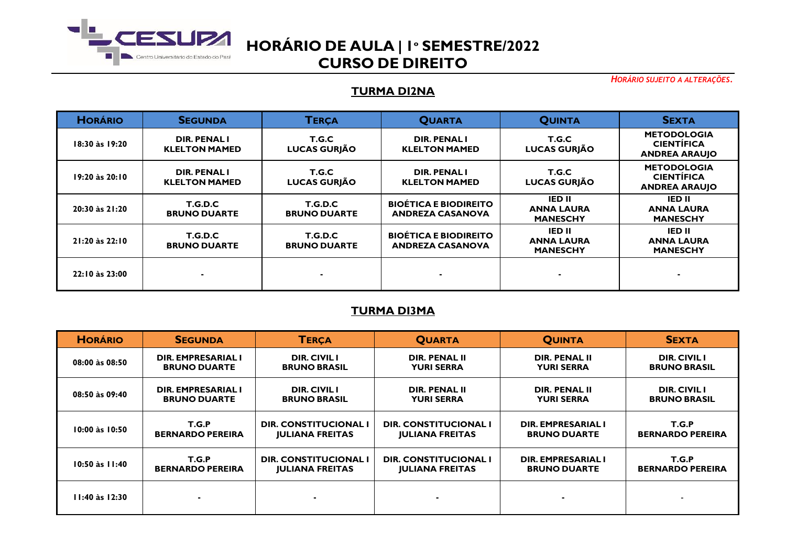

*HORÁRIO SUJEITO A ALTERAÇÕES.*

### **TURMA DI2NA**

| <b>HORÁRIO</b> | <b>SEGUNDA</b>                             | <b>TERCA</b>                    | <b>QUARTA</b>                                           | <b>QUINTA</b>                                         | <b>SEXTA</b>                                                    |
|----------------|--------------------------------------------|---------------------------------|---------------------------------------------------------|-------------------------------------------------------|-----------------------------------------------------------------|
| 18:30 às 19:20 | <b>DIR. PENALI</b><br><b>KLELTON MAMED</b> | T.G.C<br><b>LUCAS GURJÃO</b>    | <b>DIR. PENAL I</b><br><b>KLELTON MAMED</b>             | T.G.C<br><b>LUCAS GURJÃO</b>                          | <b>METODOLOGIA</b><br><b>CIENTÍFICA</b><br><b>ANDREA ARAUJO</b> |
| 19:20 às 20:10 | DIR. PENAL I<br><b>KLELTON MAMED</b>       | T.G.C<br><b>LUCAS GURJÃO</b>    | <b>DIR. PENAL I</b><br><b>KLELTON MAMED</b>             | T.G.C<br><b>LUCAS GURJÃO</b>                          | <b>METODOLOGIA</b><br><b>CIENTÍFICA</b><br><b>ANDREA ARAUJO</b> |
| 20:30 às 21:20 | T.G.D.C<br><b>BRUNO DUARTE</b>             | T.G.D.C<br><b>BRUNO DUARTE</b>  | <b>BIOÉTICA E BIODIREITO</b><br><b>ANDREZA CASANOVA</b> | <b>IED II</b><br><b>ANNA LAURA</b><br><b>MANESCHY</b> | IED II<br><b>ANNA LAURA</b><br><b>MANESCHY</b>                  |
| 21:20 às 22:10 | T.G.D.C<br><b>BRUNO DUARTE</b>             | T.G.D.C.<br><b>BRUNO DUARTE</b> | <b>BIOÉTICA E BIODIREITO</b><br><b>ANDREZA CASANOVA</b> | <b>IED II</b><br><b>ANNA LAURA</b><br><b>MANESCHY</b> | <b>IED II</b><br><b>ANNA LAURA</b><br><b>MANESCHY</b>           |
| 22:10 às 23:00 |                                            |                                 |                                                         | ٠                                                     |                                                                 |

### **TURMA DI3MA**

| <b>HORÁRIO</b>     | <b>SEGUNDA</b>          | <b>TERÇA</b>           | <b>QUARTA</b>                | <b>QUINTA</b>        | <b>SEXTA</b>            |
|--------------------|-------------------------|------------------------|------------------------------|----------------------|-------------------------|
| 08:00 às 08:50     | DIR. EMPRESARIAL I      | <b>DIR. CIVIL I</b>    | <b>DIR. PENAL II</b>         | <b>DIR. PENAL II</b> | <b>DIR. CIVIL I</b>     |
|                    | <b>BRUNO DUARTE</b>     | <b>BRUNO BRASIL</b>    | <b>YURI SERRA</b>            | <b>YURI SERRA</b>    | <b>BRUNO BRASIL</b>     |
| 08:50 às 09:40     | DIR. EMPRESARIAL I      | <b>DIR. CIVIL I</b>    | <b>DIR. PENAL II</b>         | <b>DIR. PENAL II</b> | <b>DIR. CIVIL I</b>     |
|                    | <b>BRUNO DUARTE</b>     | <b>BRUNO BRASIL</b>    | <b>YURI SERRA</b>            | <b>YURI SERRA</b>    | <b>BRUNO BRASIL</b>     |
| $10:00$ às $10:50$ | T.G.P                   | DIR. CONSTITUCIONAL I  | <b>DIR. CONSTITUCIONAL I</b> | DIR. EMPRESARIAL I   | T.G.P                   |
|                    | <b>BERNARDO PEREIRA</b> | <b>JULIANA FREITAS</b> | <b>JULIANA FREITAS</b>       | <b>BRUNO DUARTE</b>  | <b>BERNARDO PEREIRA</b> |
| $10:50$ às $11:40$ | T.G.P                   | DIR. CONSTITUCIONAL I  | <b>DIR. CONSTITUCIONAL I</b> | DIR. EMPRESARIAL I   | T.G.P                   |
|                    | <b>BERNARDO PEREIRA</b> | <b>JULIANA FREITAS</b> | <b>JULIANA FREITAS</b>       | <b>BRUNO DUARTE</b>  | <b>BERNARDO PEREIRA</b> |
| $11:40$ às $12:30$ | $\blacksquare$          |                        |                              |                      |                         |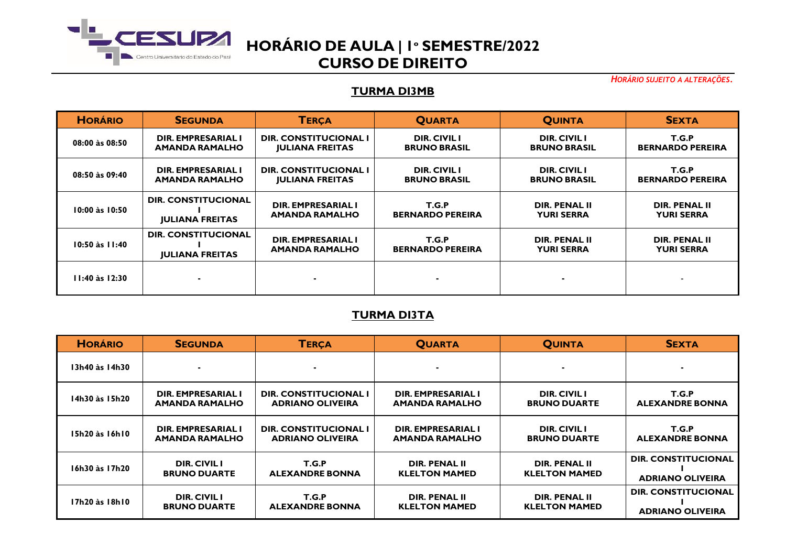

*HORÁRIO SUJEITO A ALTERAÇÕES.*

#### **TURMA DI3MB**

| <b>HORÁRIO</b>     | <b>SEGUNDA</b>             | <b>TERCA</b>           | <b>QUARTA</b>           | <b>QUINTA</b>       | <b>SEXTA</b>             |
|--------------------|----------------------------|------------------------|-------------------------|---------------------|--------------------------|
| 08:00 às 08:50     | DIR. EMPRESARIAL I         | DIR. CONSTITUCIONAL I  | <b>DIR. CIVIL I</b>     | <b>DIR. CIVIL I</b> | T.G.P                    |
|                    | <b>AMANDA RAMALHO</b>      | <b>JULIANA FREITAS</b> | <b>BRUNO BRASIL</b>     | <b>BRUNO BRASIL</b> | <b>BERNARDO PEREIRA</b>  |
| 08:50 às 09:40     | DIR. EMPRESARIAL I         | DIR. CONSTITUCIONAL I  | <b>DIR. CIVIL I</b>     | <b>DIR. CIVIL I</b> | T.G.P                    |
|                    | <b>AMANDA RAMALHO</b>      | <b>JULIANA FREITAS</b> | <b>BRUNO BRASIL</b>     | <b>BRUNO BRASIL</b> | <b>BERNARDO PEREIRA</b>  |
| $10:00$ às $10:50$ | <b>DIR. CONSTITUCIONAL</b> | DIR. EMPRESARIAL I     | T.G.P                   | DIR. PENAL II       | DIR. PENAL II            |
|                    | <b>IULIANA FREITAS</b>     | <b>AMANDA RAMALHO</b>  | <b>BERNARDO PEREIRA</b> | <b>YURI SERRA</b>   | <b>YURI SERRA</b>        |
| $10:50$ às $11:40$ | <b>DIR. CONSTITUCIONAL</b> | DIR. EMPRESARIAL I     | T.G.P                   | DIR. PENAL II       | DIR. PENAL II            |
|                    | <b>IULIANA FREITAS</b>     | <b>AMANDA RAMALHO</b>  | <b>BERNARDO PEREIRA</b> | <b>YURI SERRA</b>   | <b>YURI SERRA</b>        |
| $11:40$ às $12:30$ |                            | $\blacksquare$         |                         |                     | $\overline{\phantom{0}}$ |

## **TURMA DI3TA**

| <b>HORÁRIO</b> | <b>SEGUNDA</b>        | <b>TERCA</b>                 | <b>QUARTA</b>         | <b>QUINTA</b>        | <b>SEXTA</b>               |
|----------------|-----------------------|------------------------------|-----------------------|----------------------|----------------------------|
| 13h40 às 14h30 |                       |                              |                       |                      |                            |
| 14h30 às 15h20 | DIR. EMPRESARIAL I    | <b>DIR. CONSTITUCIONAL I</b> | DIR. EMPRESARIAL I    | <b>DIR. CIVIL I</b>  | T.G.P                      |
|                | <b>AMANDA RAMALHO</b> | <b>ADRIANO OLIVEIRA</b>      | <b>AMANDA RAMALHO</b> | <b>BRUNO DUARTE</b>  | <b>ALEXANDRE BONNA</b>     |
| 15h20 às 16h10 | DIR. EMPRESARIAL I    | <b>DIR. CONSTITUCIONAL I</b> | DIR. EMPRESARIAL I    | <b>DIR. CIVIL I</b>  | T.G.P                      |
|                | <b>AMANDA RAMALHO</b> | <b>ADRIANO OLIVEIRA</b>      | <b>AMANDA RAMALHO</b> | <b>BRUNO DUARTE</b>  | <b>ALEXANDRE BONNA</b>     |
| 16h30 às 17h20 | <b>DIR. CIVIL I</b>   | T.G.P                        | DIR. PENAL II         | DIR. PENAL II        | <b>DIR. CONSTITUCIONAL</b> |
|                | <b>BRUNO DUARTE</b>   | <b>ALEXANDRE BONNA</b>       | <b>KLELTON MAMED</b>  | <b>KLELTON MAMED</b> | <b>ADRIANO OLIVEIRA</b>    |
| 17h20 às 18h10 | <b>DIR. CIVIL I</b>   | T.G.P                        | <b>DIR. PENAL II</b>  | <b>DIR. PENAL II</b> | <b>DIR. CONSTITUCIONAL</b> |
|                | <b>BRUNO DUARTE</b>   | <b>ALEXANDRE BONNA</b>       | <b>KLELTON MAMED</b>  | <b>KLELTON MAMED</b> | <b>ADRIANO OLIVEIRA</b>    |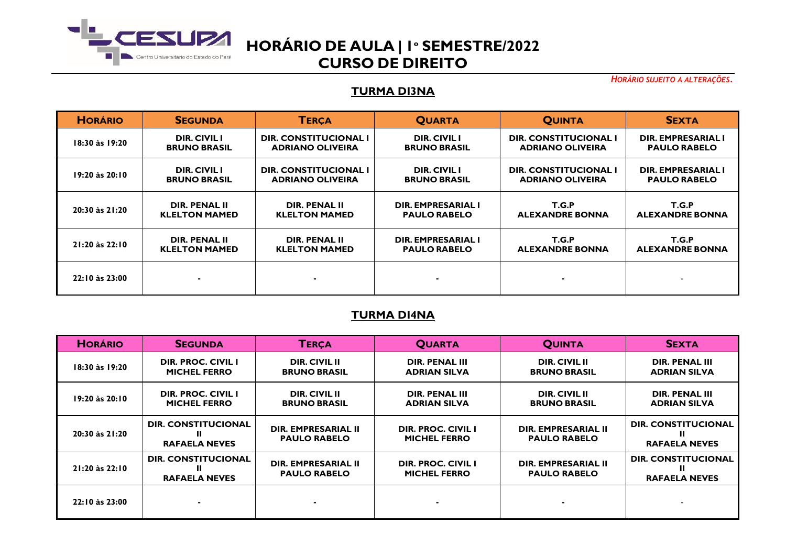

*HORÁRIO SUJEITO A ALTERAÇÕES.*

### **TURMA DI3NA**

| <b>HORÁRIO</b>     | <b>SEGUNDA</b>       | <b>TERÇA</b>                 | <b>QUARTA</b>       | <b>QUINTA</b>                | <b>SEXTA</b>           |
|--------------------|----------------------|------------------------------|---------------------|------------------------------|------------------------|
| 18:30 às 19:20     | <b>DIR. CIVIL I</b>  | <b>DIR. CONSTITUCIONAL I</b> | <b>DIR. CIVIL I</b> | DIR. CONSTITUCIONAL I        | DIR. EMPRESARIAL I     |
|                    | <b>BRUNO BRASIL</b>  | <b>ADRIANO OLIVEIRA</b>      | <b>BRUNO BRASIL</b> | <b>ADRIANO OLIVEIRA</b>      | <b>PAULO RABELO</b>    |
| $19:20$ às $20:10$ | <b>DIR. CIVIL I</b>  | DIR. CONSTITUCIONAL I        | <b>DIR. CIVIL I</b> | <b>DIR. CONSTITUCIONAL I</b> | DIR. EMPRESARIAL I     |
|                    | <b>BRUNO BRASIL</b>  | <b>ADRIANO OLIVEIRA</b>      | <b>BRUNO BRASIL</b> | <b>ADRIANO OLIVEIRA</b>      | <b>PAULO RABELO</b>    |
| 20:30 às 21:20     | DIR. PENAL II        | <b>DIR. PENAL II</b>         | DIR. EMPRESARIAL I  | T.G.P                        | T.G.P                  |
|                    | <b>KLELTON MAMED</b> | <b>KLELTON MAMED</b>         | <b>PAULO RABELO</b> | <b>ALEXANDRE BONNA</b>       | <b>ALEXANDRE BONNA</b> |
| $21:20$ às $22:10$ | DIR. PENAL II        | <b>DIR. PENAL II</b>         | DIR. EMPRESARIAL I  | T.G.P                        | T.G.P                  |
|                    | <b>KLELTON MAMED</b> | <b>KLELTON MAMED</b>         | <b>PAULO RABELO</b> | <b>ALEXANDRE BONNA</b>       | <b>ALEXANDRE BONNA</b> |
| 22:10 às 23:00     |                      | $\blacksquare$               |                     |                              |                        |

## **TURMA DI4NA**

| <b>HORÁRIO</b>     | <b>SEGUNDA</b>             | <b>TERÇA</b>         | <b>QUARTA</b>             | <b>QUINTA</b>        | <b>SEXTA</b>               |
|--------------------|----------------------------|----------------------|---------------------------|----------------------|----------------------------|
| 18:30 às 19:20     | <b>DIR. PROC. CIVIL I</b>  | <b>DIR. CIVIL II</b> | <b>DIR. PENAL III</b>     | <b>DIR. CIVIL II</b> | <b>DIR. PENAL III</b>      |
|                    | <b>MICHEL FERRO</b>        | <b>BRUNO BRASIL</b>  | <b>ADRIAN SILVA</b>       | <b>BRUNO BRASIL</b>  | <b>ADRIAN SILVA</b>        |
| 19:20 às 20:10     | DIR. PROC. CIVIL I         | <b>DIR. CIVIL II</b> | <b>DIR. PENAL III</b>     | <b>DIR. CIVIL II</b> | <b>DIR. PENAL III</b>      |
|                    | <b>MICHEL FERRO</b>        | <b>BRUNO BRASIL</b>  | <b>ADRIAN SILVA</b>       | <b>BRUNO BRASIL</b>  | <b>ADRIAN SILVA</b>        |
| 20:30 às 21:20     | DIR. CONSTITUCIONAL        | DIR. EMPRESARIAL II  | <b>DIR. PROC. CIVIL I</b> | DIR. EMPRESARIAL II  | <b>DIR. CONSTITUCIONAL</b> |
|                    | <b>RAFAELA NEVES</b>       | <b>PAULO RABELO</b>  | <b>MICHEL FERRO</b>       | <b>PAULO RABELO</b>  | <b>RAFAELA NEVES</b>       |
| $21:20$ às $22:10$ | <b>DIR. CONSTITUCIONAL</b> | DIR. EMPRESARIAL II  | DIR. PROC. CIVIL I        | DIR. EMPRESARIAL II  | <b>DIR. CONSTITUCIONAL</b> |
|                    | <b>RAFAELA NEVES</b>       | <b>PAULO RABELO</b>  | <b>MICHEL FERRO</b>       | <b>PAULO RABELO</b>  | <b>RAFAELA NEVES</b>       |
| 22:10 às 23:00     |                            |                      |                           |                      |                            |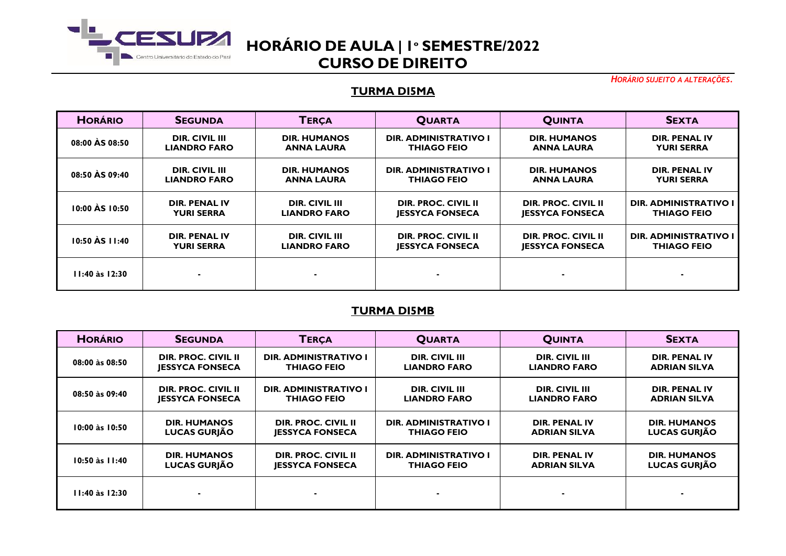

*HORÁRIO SUJEITO A ALTERAÇÕES.*

#### **TURMA DI5MA**

| <b>HORÁRIO</b>     | <b>SEGUNDA</b>        | <b>TERCA</b>          | <b>QUARTA</b>                | <b>QUINTA</b>              | <b>SEXTA</b>                 |
|--------------------|-----------------------|-----------------------|------------------------------|----------------------------|------------------------------|
| 08:00 AS 08:50     | <b>DIR. CIVIL III</b> | <b>DIR. HUMANOS</b>   | <b>DIR. ADMINISTRATIVO I</b> | <b>DIR. HUMANOS</b>        | <b>DIR. PENAL IV</b>         |
|                    | <b>LIANDRO FARO</b>   | <b>ANNA LAURA</b>     | <b>THIAGO FEIO</b>           | <b>ANNA LAURA</b>          | <b>YURI SERRA</b>            |
| 08:50 AS 09:40     | DIR. CIVIL III        | <b>DIR. HUMANOS</b>   | <b>DIR. ADMINISTRATIVO I</b> | <b>DIR. HUMANOS</b>        | <b>DIR. PENAL IV</b>         |
|                    | <b>LIANDRO FARO</b>   | <b>ANNA LAURA</b>     | <b>THIAGO FEIO</b>           | <b>ANNA LAURA</b>          | <b>YURI SERRA</b>            |
| 10:00 AS 10:50     | DIR. PENAL IV         | DIR. CIVIL III        | DIR. PROC. CIVIL II          | DIR. PROC. CIVIL II        | <b>DIR. ADMINISTRATIVO I</b> |
|                    | <b>YURI SERRA</b>     | <b>LIANDRO FARO</b>   | <b>JESSYCA FONSECA</b>       | <b>JESSYCA FONSECA</b>     | <b>THIAGO FEIO</b>           |
| 10:50 AS 11:40     | <b>DIR. PENAL IV</b>  | <b>DIR. CIVIL III</b> | <b>DIR. PROC. CIVIL II</b>   | <b>DIR. PROC. CIVIL II</b> | <b>DIR. ADMINISTRATIVO I</b> |
|                    | <b>YURI SERRA</b>     | <b>LIANDRO FARO</b>   | <b>JESSYCA FONSECA</b>       | <b>JESSYCA FONSECA</b>     | <b>THIAGO FEIO</b>           |
| $11:40$ às $12:30$ |                       | $\blacksquare$        |                              |                            |                              |

### **TURMA DI5MB**

| <b>HORÁRIO</b>     | <b>SEGUNDA</b>         | <b>TERCA</b>               | <b>QUARTA</b>                | <b>QUINTA</b>         | <b>SEXTA</b>         |
|--------------------|------------------------|----------------------------|------------------------------|-----------------------|----------------------|
| 08:00 às 08:50     | DIR. PROC. CIVIL II    | DIR. ADMINISTRATIVO I      | DIR. CIVIL III               | <b>DIR. CIVIL III</b> | <b>DIR. PENAL IV</b> |
|                    | <b>JESSYCA FONSECA</b> | <b>THIAGO FEIO</b>         | <b>LIANDRO FARO</b>          | <b>LIANDRO FARO</b>   | <b>ADRIAN SILVA</b>  |
| 08:50 às 09:40     | DIR. PROC. CIVIL II    | DIR. ADMINISTRATIVO I      | DIR. CIVIL III               | <b>DIR. CIVIL III</b> | DIR. PENAL IV        |
|                    | <b>JESSYCA FONSECA</b> | <b>THIAGO FEIO</b>         | <b>LIANDRO FARO</b>          | <b>LIANDRO FARO</b>   | <b>ADRIAN SILVA</b>  |
| 10:00 às 10:50     | <b>DIR. HUMANOS</b>    | <b>DIR. PROC. CIVIL II</b> | <b>DIR. ADMINISTRATIVO I</b> | DIR. PENAL IV         | <b>DIR. HUMANOS</b>  |
|                    | <b>LUCAS GURIÃO</b>    | <b>IESSYCA FONSECA</b>     | <b>THIAGO FEIO</b>           | ADRIAN SILVA          | <b>LUCAS GURJÃO</b>  |
| $10:50$ às $11:40$ | <b>DIR. HUMANOS</b>    | DIR. PROC. CIVIL II        | <b>DIR. ADMINISTRATIVO I</b> | DIR. PENAL IV         | <b>DIR. HUMANOS</b>  |
|                    | <b>LUCAS GURIÃO</b>    | <b>JESSYCA FONSECA</b>     | <b>THIAGO FEIO</b>           | ADRIAN SILVA          | <b>LUCAS GURJÃO</b>  |
| $11:40$ às $12:30$ |                        | $\blacksquare$             |                              |                       | $\blacksquare$       |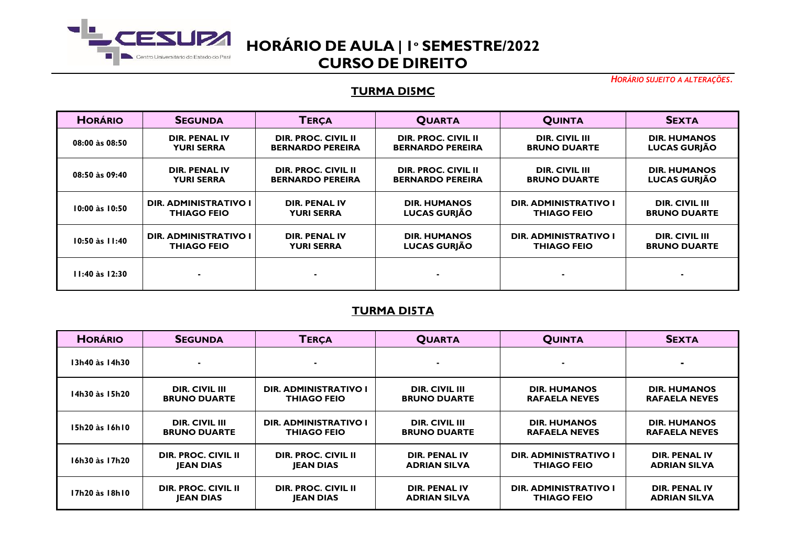

*HORÁRIO SUJEITO A ALTERAÇÕES.*

#### **TURMA DI5MC**

| <b>HORÁRIO</b>     | <b>SEGUNDA</b>               | <b>TERCA</b>               | <b>QUARTA</b>           | <b>QUINTA</b>                | <b>SEXTA</b>          |
|--------------------|------------------------------|----------------------------|-------------------------|------------------------------|-----------------------|
| 08:00 às 08:50     | <b>DIR. PENAL IV</b>         | <b>DIR. PROC. CIVIL II</b> | DIR. PROC. CIVIL II     | DIR. CIVIL III               | <b>DIR. HUMANOS</b>   |
|                    | <b>YURI SERRA</b>            | <b>BERNARDO PEREIRA</b>    | <b>BERNARDO PEREIRA</b> | <b>BRUNO DUARTE</b>          | <b>LUCAS GURJÃO</b>   |
| 08:50 às 09:40     | <b>DIR. PENAL IV</b>         | DIR. PROC. CIVIL II        | DIR. PROC. CIVIL II     | DIR. CIVIL III               | <b>DIR. HUMANOS</b>   |
|                    | <b>YURI SERRA</b>            | <b>BERNARDO PEREIRA</b>    | <b>BERNARDO PEREIRA</b> | <b>BRUNO DUARTE</b>          | <b>LUCAS GURJÃO</b>   |
| $10:00$ às $10:50$ | <b>DIR. ADMINISTRATIVO I</b> | DIR. PENAL IV              | <b>DIR. HUMANOS</b>     | DIR. ADMINISTRATIVO I        | <b>DIR. CIVIL III</b> |
|                    | <b>THIAGO FEIO</b>           | <b>YURI SERRA</b>          | <b>LUCAS GURJÃO</b>     | <b>THIAGO FEIO</b>           | <b>BRUNO DUARTE</b>   |
| $10:50$ às $11:40$ | <b>DIR. ADMINISTRATIVO I</b> | DIR. PENAL IV              | <b>DIR. HUMANOS</b>     | <b>DIR. ADMINISTRATIVO I</b> | <b>DIR. CIVIL III</b> |
|                    | <b>THIAGO FEIO</b>           | YURI SERRA                 | LUCAS GURJÃO            | <b>THIAGO FEIO</b>           | <b>BRUNO DUARTE</b>   |
| $11:40$ às $12:30$ | $\blacksquare$               | ۰                          |                         |                              |                       |

### **TURMA DI5TA**

| <b>HORÁRIO</b> | <b>SEGUNDA</b>        | <b>TERÇA</b>                 | <b>QUARTA</b>       | <b>QUINTA</b>                | <b>SEXTA</b>         |
|----------------|-----------------------|------------------------------|---------------------|------------------------------|----------------------|
| 13h40 às 14h30 | $\blacksquare$        | ж.                           |                     |                              |                      |
| 14h30 às 15h20 | DIR. CIVIL III        | <b>DIR. ADMINISTRATIVO I</b> | DIR. CIVIL III      | <b>DIR. HUMANOS</b>          | <b>DIR. HUMANOS</b>  |
|                | <b>BRUNO DUARTE</b>   | <b>THIAGO FEIO</b>           | <b>BRUNO DUARTE</b> | <b>RAFAELA NEVES</b>         | <b>RAFAELA NEVES</b> |
| 15h20 às 16h10 | <b>DIR. CIVIL III</b> | DIR. ADMINISTRATIVO I        | DIR. CIVIL III      | <b>DIR. HUMANOS</b>          | <b>DIR. HUMANOS</b>  |
|                | <b>BRUNO DUARTE</b>   | <b>THIAGO FEIO</b>           | <b>BRUNO DUARTE</b> | <b>RAFAELA NEVES</b>         | <b>RAFAELA NEVES</b> |
| 16h30 às 17h20 | DIR. PROC. CIVIL II   | DIR. PROC. CIVIL II          | DIR. PENAL IV       | <b>DIR. ADMINISTRATIVO I</b> | DIR. PENAL IV        |
|                | <b>JEAN DIAS</b>      | <b>IEAN DIAS</b>             | <b>ADRIAN SILVA</b> | THIAGO FEIO                  | <b>ADRIAN SILVA</b>  |
| 17h20 às 18h10 | DIR. PROC. CIVIL II   | DIR. PROC. CIVIL II          | DIR. PENAL IV       | <b>DIR. ADMINISTRATIVO I</b> | DIR. PENAL IV        |
|                | <b>JEAN DIAS</b>      | <b>JEAN DIAS</b>             | <b>ADRIAN SILVA</b> | THIAGO FEIO                  | <b>ADRIAN SILVA</b>  |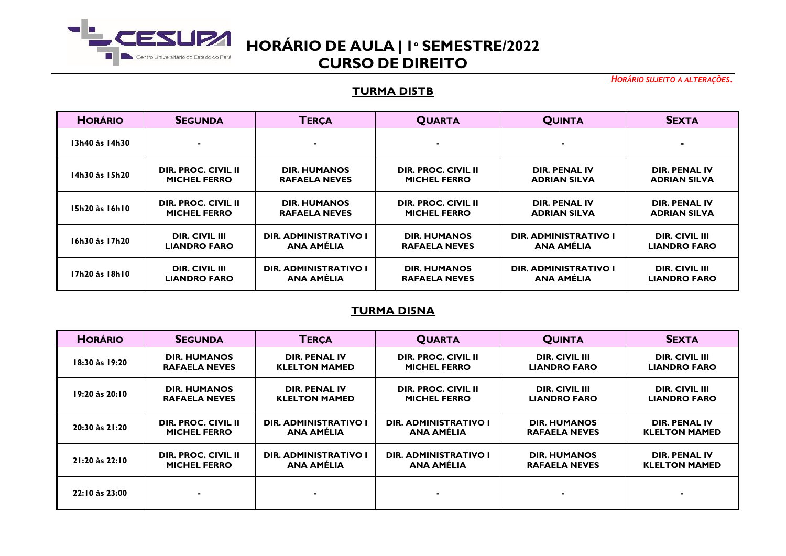

*HORÁRIO SUJEITO A ALTERAÇÕES.*

#### **TURMA DI5TB**

| <b>HORÁRIO</b> | <b>SEGUNDA</b>        | <b>TERCA</b>                 | <b>QUARTA</b>        | <b>QUINTA</b>                | <b>SEXTA</b>          |
|----------------|-----------------------|------------------------------|----------------------|------------------------------|-----------------------|
| 13h40 às 14h30 |                       | $\blacksquare$               |                      |                              | $\blacksquare$        |
| 14h30 às 15h20 | DIR. PROC. CIVIL II   | <b>DIR. HUMANOS</b>          | DIR. PROC. CIVIL II  | DIR. PENAL IV                | DIR. PENAL IV         |
|                | <b>MICHEL FERRO</b>   | <b>RAFAELA NEVES</b>         | <b>MICHEL FERRO</b>  | <b>ADRIAN SILVA</b>          | <b>ADRIAN SILVA</b>   |
| 15h20 às 16h10 | DIR. PROC. CIVIL II   | <b>DIR. HUMANOS</b>          | DIR. PROC. CIVIL II  | DIR. PENAL IV                | DIR. PENAL IV         |
|                | <b>MICHEL FERRO</b>   | <b>RAFAELA NEVES</b>         | <b>MICHEL FERRO</b>  | <b>ADRIAN SILVA</b>          | <b>ADRIAN SILVA</b>   |
| 16h30 às 17h20 | DIR. CIVIL III        | DIR. ADMINISTRATIVO I        | <b>DIR. HUMANOS</b>  | <b>DIR. ADMINISTRATIVO I</b> | DIR. CIVIL III        |
|                | <b>LIANDRO FARO</b>   | <b>ANA AMELIA</b>            | <b>RAFAELA NEVES</b> | ANA AMÉLIA                   | <b>LIANDRO FARO</b>   |
| 17h20 às 18h10 | <b>DIR. CIVIL III</b> | <b>DIR. ADMINISTRATIVO I</b> | <b>DIR. HUMANOS</b>  | <b>DIR. ADMINISTRATIVO I</b> | <b>DIR. CIVIL III</b> |
|                | <b>LIANDRO FARO</b>   | <b>ANA AMELIA</b>            | <b>RAFAELA NEVES</b> | <b>ANA AMÉLIA</b>            | <b>LIANDRO FARO</b>   |

### **TURMA DI5NA**

| <b>HORÁRIO</b> | <b>SEGUNDA</b>             | <b>TERÇA</b>                 | <b>QUARTA</b>                | <b>QUINTA</b>         | <b>SEXTA</b>          |
|----------------|----------------------------|------------------------------|------------------------------|-----------------------|-----------------------|
| 18:30 às 19:20 | <b>DIR. HUMANOS</b>        | <b>DIR. PENAL IV</b>         | DIR. PROC. CIVIL II          | <b>DIR. CIVIL III</b> | <b>DIR. CIVIL III</b> |
|                | <b>RAFAELA NEVES</b>       | <b>KLELTON MAMED</b>         | <b>MICHEL FERRO</b>          | <b>LIANDRO FARO</b>   | <b>LIANDRO FARO</b>   |
| 19:20 às 20:10 | <b>DIR. HUMANOS</b>        | DIR. PENAL IV                | DIR. PROC. CIVIL II          | DIR. CIVIL III        | <b>DIR. CIVIL III</b> |
|                | <b>RAFAELA NEVES</b>       | <b>KLELTON MAMED</b>         | <b>MICHEL FERRO</b>          | <b>LIANDRO FARO</b>   | <b>LIANDRO FARO</b>   |
| 20:30 às 21:20 | <b>DIR. PROC. CIVIL II</b> | <b>DIR. ADMINISTRATIVO I</b> | <b>DIR. ADMINISTRATIVO I</b> | <b>DIR. HUMANOS</b>   | DIR. PENAL IV         |
|                | <b>MICHEL FERRO</b>        | <b>ANA AMÉLIA</b>            | <b>ANA AMÉLIA</b>            | <b>RAFAELA NEVES</b>  | <b>KLELTON MAMED</b>  |
| 21:20 às 22:10 | DIR. PROC. CIVIL II        | <b>DIR. ADMINISTRATIVO I</b> | <b>DIR. ADMINISTRATIVO I</b> | <b>DIR. HUMANOS</b>   | DIR. PENAL IV         |
|                | <b>MICHEL FERRO</b>        | <b>ANA AMELIA</b>            | <b>ANA AMELIA</b>            | <b>RAFAELA NEVES</b>  | <b>KLELTON MAMED</b>  |
| 22:10 às 23:00 |                            | $\blacksquare$               |                              |                       | $\blacksquare$        |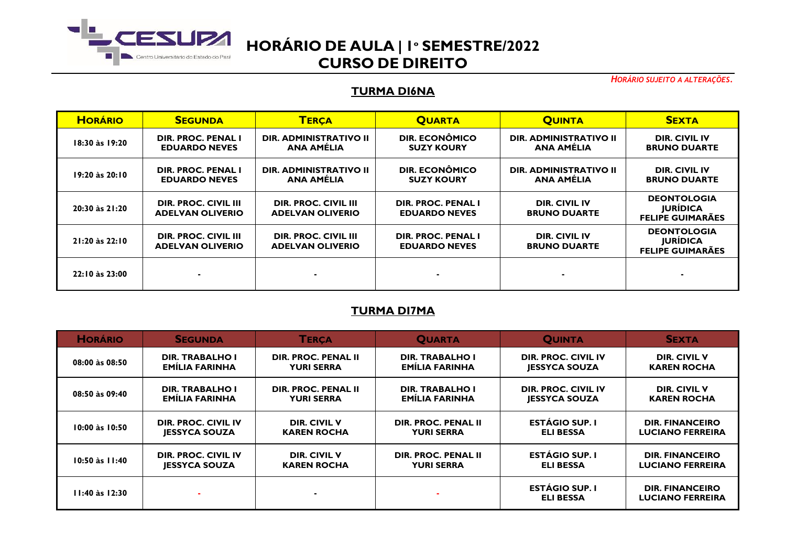

*HORÁRIO SUJEITO A ALTERAÇÕES.*

#### **TURMA DI6NA**

| <b>HORÁRIO</b> | <b>SEGUNDA</b>                                  | <b>TERÇA</b>                                       | <b>QUARTA</b>                              | <b>QUINTA</b>                               | <b>SEXTA</b>                                                     |
|----------------|-------------------------------------------------|----------------------------------------------------|--------------------------------------------|---------------------------------------------|------------------------------------------------------------------|
| 18:30 às 19:20 | DIR. PROC. PENAL I<br><b>EDUARDO NEVES</b>      | DIR. ADMINISTRATIVO II<br>ANA AMÉLIA               | <b>DIR. ECONÔMICO</b><br><b>SUZY KOURY</b> | <b>DIR. ADMINISTRATIVO II</b><br>ANA AMÉLIA | DIR. CIVIL IV<br><b>BRUNO DUARTE</b>                             |
| 19:20 às 20:10 | DIR. PROC. PENAL I<br><b>EDUARDO NEVES</b>      | <b>DIR. ADMINISTRATIVO II</b><br><b>ANA AMÉLIA</b> | DIR. ECONÔMICO<br><b>SUZY KOURY</b>        | <b>DIR. ADMINISTRATIVO II</b><br>ANA AMÉLIA | <b>DIR. CIVIL IV</b><br><b>BRUNO DUARTE</b>                      |
| 20:30 às 21:20 | DIR. PROC. CIVIL III<br><b>ADELVAN OLIVERIO</b> | DIR. PROC. CIVIL III<br><b>ADELVAN OLIVERIO</b>    | DIR. PROC. PENAL I<br><b>EDUARDO NEVES</b> | <b>DIR. CIVIL IV</b><br><b>BRUNO DUARTE</b> | <b>DEONTOLOGIA</b><br><b>JURÍDICA</b><br><b>FELIPE GUIMARÃES</b> |
| 21:20 às 22:10 | DIR. PROC. CIVIL III<br><b>ADELVAN OLIVERIO</b> | DIR. PROC. CIVIL III<br><b>ADELVAN OLIVERIO</b>    | DIR. PROC. PENAL I<br><b>EDUARDO NEVES</b> | <b>DIR. CIVIL IV</b><br><b>BRUNO DUARTE</b> | <b>DEONTOLOGIA</b><br><b>JURÍDICA</b><br><b>FELIPE GUIMARÃES</b> |
| 22:10 às 23:00 |                                                 |                                                    |                                            |                                             |                                                                  |

## **TURMA DI7MA**

| <b>HORÁRIO</b>     | <b>SEGUNDA</b>         | <b>TERCA</b>               | <b>QUARTA</b>              | <b>QUINTA</b>                             | <b>SEXTA</b>                                      |
|--------------------|------------------------|----------------------------|----------------------------|-------------------------------------------|---------------------------------------------------|
| 08:00 às 08:50     | <b>DIR. TRABALHO I</b> | DIR. PROC. PENAL II        | <b>DIR. TRABALHO I</b>     | DIR. PROC. CIVIL IV                       | <b>DIR. CIVIL V</b>                               |
|                    | EMILIA FARINHA         | <b>YURI SERRA</b>          | EMILIA FARINHA             | <b>JESSYCA SOUZA</b>                      | <b>KAREN ROCHA</b>                                |
| 08:50 às 09:40     | <b>DIR. TRABALHO I</b> | <b>DIR. PROC. PENAL II</b> | <b>DIR. TRABALHO I</b>     | DIR. PROC. CIVIL IV                       | <b>DIR. CIVIL V</b>                               |
|                    | <b>EMILIA FARINHA</b>  | <b>YURI SERRA</b>          | EMILIA FARINHA             | <b>JESSYCA SOUZA</b>                      | <b>KAREN ROCHA</b>                                |
| 10:00 às 10:50     | DIR. PROC. CIVIL IV    | DIR. CIVIL V               | DIR. PROC. PENAL II        | <b>ESTÁGIO SUP. I</b>                     | <b>DIR. FINANCEIRO</b>                            |
|                    | <b>JESSYCA SOUZA</b>   | <b>KAREN ROCHA</b>         | <b>YURI SERRA</b>          | <b>ELI BESSA</b>                          | <b>LUCIANO FERREIRA</b>                           |
| $10:50$ às $11:40$ | DIR. PROC. CIVIL IV    | <b>DIR. CIVIL V</b>        | <b>DIR. PROC. PENAL II</b> | <b>ESTÁGIO SUP. I</b>                     | <b>DIR. FINANCEIRO</b>                            |
|                    | <b>JESSYCA SOUZA</b>   | <b>KAREN ROCHA</b>         | <b>YURI SERRA</b>          | <b>ELI BESSA</b>                          | <b>LUCIANO FERREIRA</b>                           |
| $11:40$ às $12:30$ |                        | $\blacksquare$             |                            | <b>ESTÁGIO SUP. I</b><br><b>ELI BESSA</b> | <b>DIR. FINANCEIRO</b><br><b>LUCIANO FERREIRA</b> |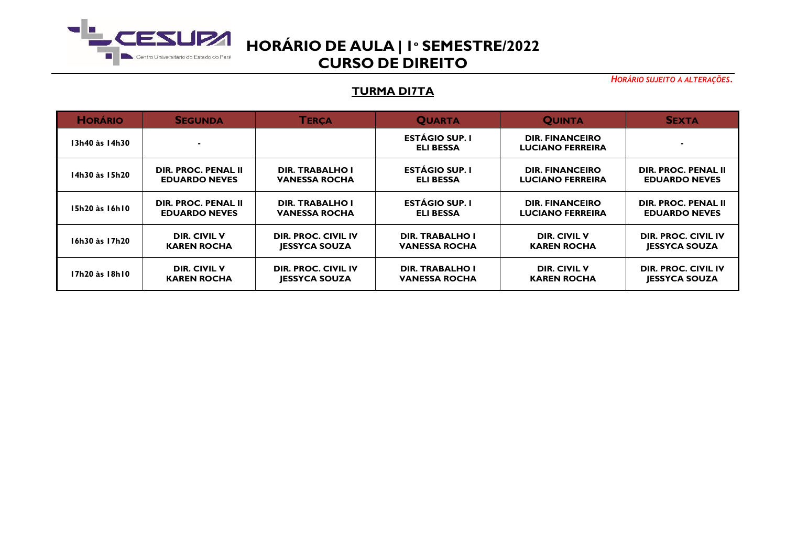

*HORÁRIO SUJEITO A ALTERAÇÕES.*

### **TURMA DI7TA**

| <b>HORÁRIO</b> | <b>SEGUNDA</b>       | <b>TERCA</b>           | <b>QUARTA</b>                             | <b>QUINTA</b>                                     | <b>SEXTA</b>         |
|----------------|----------------------|------------------------|-------------------------------------------|---------------------------------------------------|----------------------|
| 13h40 às 14h30 |                      |                        | <b>ESTÁGIO SUP. I</b><br><b>ELI BESSA</b> | <b>DIR. FINANCEIRO</b><br><b>LUCIANO FERREIRA</b> |                      |
| 14h30 às 15h20 | DIR. PROC. PENAL II  | <b>DIR. TRABALHO I</b> | <b>ESTÁGIO SUP. I</b>                     | <b>DIR. FINANCEIRO</b>                            | DIR. PROC. PENAL II  |
|                | <b>EDUARDO NEVES</b> | <b>VANESSA ROCHA</b>   | <b>ELI BESSA</b>                          | <b>LUCIANO FERREIRA</b>                           | <b>EDUARDO NEVES</b> |
| 15h20 às 16h10 | DIR. PROC. PENAL II  | <b>DIR. TRABALHO I</b> | <b>ESTÁGIO SUP. I</b>                     | <b>DIR. FINANCEIRO</b>                            | DIR. PROC. PENAL II  |
|                | <b>EDUARDO NEVES</b> | <b>VANESSA ROCHA</b>   | <b>ELI BESSA</b>                          | <b>LUCIANO FERREIRA</b>                           | <b>EDUARDO NEVES</b> |
| 16h30 às 17h20 | <b>DIR. CIVIL V</b>  | DIR. PROC. CIVIL IV    | <b>DIR. TRABALHO I</b>                    | <b>DIR. CIVIL V</b>                               | DIR. PROC. CIVIL IV  |
|                | <b>KAREN ROCHA</b>   | <b>JESSYCA SOUZA</b>   | <b>VANESSA ROCHA</b>                      | <b>KAREN ROCHA</b>                                | <b>JESSYCA SOUZA</b> |
| 17h20 às 18h10 | DIR. CIVIL V         | DIR. PROC. CIVIL IV    | <b>DIR. TRABALHO I</b>                    | <b>DIR. CIVIL V</b>                               | DIR. PROC. CIVIL IV  |
|                | <b>KAREN ROCHA</b>   | <b>JESSYCA SOUZA</b>   | <b>VANESSA ROCHA</b>                      | <b>KAREN ROCHA</b>                                | <b>JESSYCA SOUZA</b> |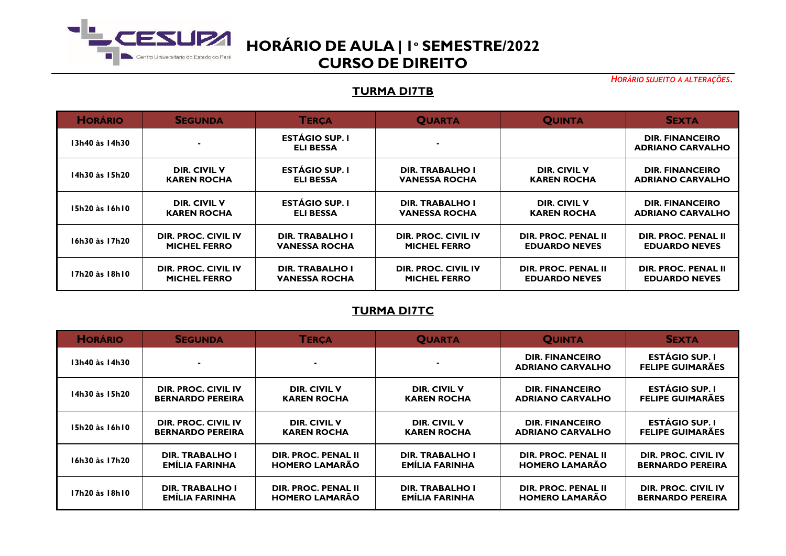

*HORÁRIO SUJEITO A ALTERAÇÕES.*

### **TURMA DI7TB**

| <b>HORÁRIO</b> | <b>SEGUNDA</b>             | <b>TERCA</b>                              | <b>QUARTA</b>              | <b>QUINTA</b>              | <b>SEXTA</b>                                      |
|----------------|----------------------------|-------------------------------------------|----------------------------|----------------------------|---------------------------------------------------|
| 13h40 às 14h30 |                            | <b>ESTÁGIO SUP. I</b><br><b>ELI BESSA</b> |                            |                            | <b>DIR. FINANCEIRO</b><br><b>ADRIANO CARVALHO</b> |
| 14h30 às 15h20 | DIR. CIVIL V               | <b>ESTÁGIO SUP. I</b>                     | <b>DIR. TRABALHO I</b>     | DIR. CIVIL V               | <b>DIR. FINANCEIRO</b>                            |
|                | <b>KAREN ROCHA</b>         | <b>ELI BESSA</b>                          | <b>VANESSA ROCHA</b>       | <b>KAREN ROCHA</b>         | <b>ADRIANO CARVALHO</b>                           |
| 15h20 às 16h10 | <b>DIR. CIVIL V</b>        | <b>ESTÁGIO SUP. I</b>                     | <b>DIR. TRABALHO I</b>     | <b>DIR. CIVIL V</b>        | <b>DIR. FINANCEIRO</b>                            |
|                | <b>KAREN ROCHA</b>         | <b>ELI BESSA</b>                          | <b>VANESSA ROCHA</b>       | <b>KAREN ROCHA</b>         | <b>ADRIANO CARVALHO</b>                           |
| 16h30 às 17h20 | DIR. PROC. CIVIL IV        | <b>DIR. TRABALHO I</b>                    | <b>DIR. PROC. CIVIL IV</b> | <b>DIR. PROC. PENAL II</b> | DIR. PROC. PENAL II                               |
|                | <b>MICHEL FERRO</b>        | <b>VANESSA ROCHA</b>                      | <b>MICHEL FERRO</b>        | <b>EDUARDO NEVES</b>       | <b>EDUARDO NEVES</b>                              |
| 17h20 às 18h10 | <b>DIR. PROC. CIVIL IV</b> | <b>DIR. TRABALHO I</b>                    | <b>DIR. PROC. CIVIL IV</b> | <b>DIR. PROC. PENAL II</b> | <b>DIR. PROC. PENAL II</b>                        |
|                | <b>MICHEL FERRO</b>        | <b>VANESSA ROCHA</b>                      | <b>MICHEL FERRO</b>        | <b>EDUARDO NEVES</b>       | <b>EDUARDO NEVES</b>                              |

## **TURMA DI7TC**

| <b>HORÁRIO</b> | <b>SEGUNDA</b>          | <b>TERCA</b>               | <b>QUARTA</b>          | <b>QUINTA</b>                                     | <b>SEXTA</b>                                     |
|----------------|-------------------------|----------------------------|------------------------|---------------------------------------------------|--------------------------------------------------|
| 13h40 às 14h30 |                         | $\blacksquare$             |                        | <b>DIR. FINANCEIRO</b><br><b>ADRIANO CARVALHO</b> | <b>ESTÁGIO SUP. I</b><br><b>FELIPE GUIMARÃES</b> |
| 14h30 às 15h20 | DIR. PROC. CIVIL IV     | DIR. CIVIL V               | DIR. CIVIL V           | <b>DIR. FINANCEIRO</b>                            | <b>ESTÁGIO SUP. I</b>                            |
|                | <b>BERNARDO PEREIRA</b> | <b>KAREN ROCHA</b>         | <b>KAREN ROCHA</b>     | <b>ADRIANO CARVALHO</b>                           | <b>FELIPE GUIMARÃES</b>                          |
| 15h20 às 16h10 | DIR. PROC. CIVIL IV     | <b>DIR. CIVIL V</b>        | <b>DIR. CIVIL V</b>    | <b>DIR. FINANCEIRO</b>                            | <b>ESTÁGIO SUP. I</b>                            |
|                | <b>BERNARDO PEREIRA</b> | <b>KAREN ROCHA</b>         | <b>KAREN ROCHA</b>     | <b>ADRIANO CARVALHO</b>                           | <b>FELIPE GUIMARÃES</b>                          |
| 16h30 às 17h20 | <b>DIR. TRABALHO I</b>  | <b>DIR. PROC. PENAL II</b> | <b>DIR. TRABALHO I</b> | <b>DIR. PROC. PENAL II</b>                        | DIR. PROC. CIVIL IV                              |
|                | <b>EMILIA FARINHA</b>   | <b>HOMERO LAMARÃO</b>      | EMILIA FARINHA         | <b>HOMERO LAMARÃO</b>                             | <b>BERNARDO PEREIRA</b>                          |
| 17h20 às 18h10 | <b>DIR. TRABALHO I</b>  | <b>DIR. PROC. PENAL II</b> | <b>DIR. TRABALHO I</b> | DIR. PROC. PENAL II                               | DIR. PROC. CIVIL IV                              |
|                | <b>EMILIA FARINHA</b>   | <b>HOMERO LAMARÃO</b>      | EMILIA FARINHA         | <b>HOMERO LAMARÃO</b>                             | <b>BERNARDO PEREIRA</b>                          |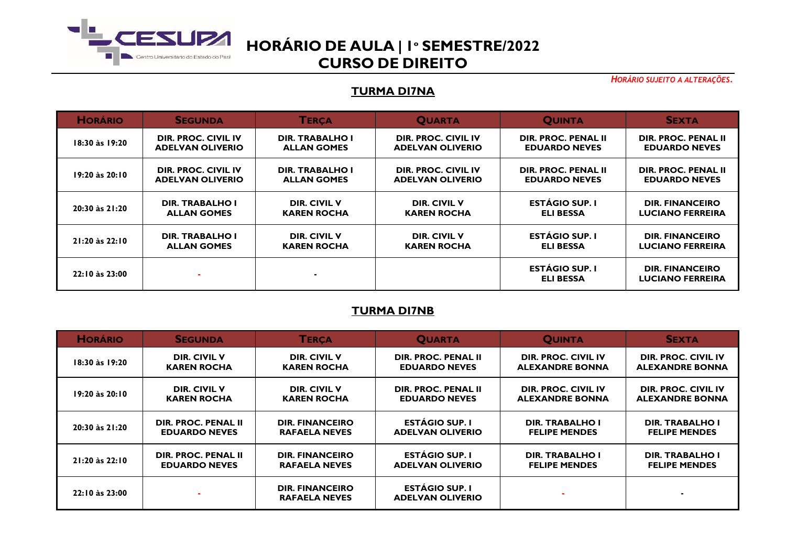

*HORÁRIO SUJEITO A ALTERAÇÕES.*

### **TURMA DI7NA**

| <b>HORÁRIO</b>     | <b>SEGUNDA</b>          | <b>TERCA</b>           | <b>QUARTA</b>           | <b>QUINTA</b>                             | <b>SEXTA</b>                                      |
|--------------------|-------------------------|------------------------|-------------------------|-------------------------------------------|---------------------------------------------------|
| 18:30 às 19:20     | DIR. PROC. CIVIL IV     | <b>DIR. TRABALHO I</b> | DIR. PROC. CIVIL IV     | DIR. PROC. PENAL II                       | DIR. PROC. PENAL II                               |
|                    | <b>ADELVAN OLIVERIO</b> | <b>ALLAN GOMES</b>     | <b>ADELVAN OLIVERIO</b> | <b>EDUARDO NEVES</b>                      | <b>EDUARDO NEVES</b>                              |
| 19:20 às 20:10     | DIR. PROC. CIVIL IV     | <b>DIR. TRABALHO I</b> | DIR. PROC. CIVIL IV     | DIR. PROC. PENAL II                       | DIR. PROC. PENAL II                               |
|                    | <b>ADELVAN OLIVERIO</b> | <b>ALLAN GOMES</b>     | <b>ADELVAN OLIVERIO</b> | <b>EDUARDO NEVES</b>                      | <b>EDUARDO NEVES</b>                              |
| 20:30 às 21:20     | DIR. TRABALHO I         | <b>DIR. CIVIL V</b>    | DIR. CIVIL V            | <b>ESTÁGIO SUP. I</b>                     | <b>DIR. FINANCEIRO</b>                            |
|                    | <b>ALLAN GOMES</b>      | <b>KAREN ROCHA</b>     | <b>KAREN ROCHA</b>      | <b>ELI BESSA</b>                          | <b>LUCIANO FERREIRA</b>                           |
| $21:20$ às $22:10$ | <b>DIR. TRABALHO I</b>  | DIR. CIVIL V           | DIR. CIVIL V            | <b>ESTÁGIO SUP. I</b>                     | <b>DIR. FINANCEIRO</b>                            |
|                    | <b>ALLAN GOMES</b>      | <b>KAREN ROCHA</b>     | <b>KAREN ROCHA</b>      | <b>ELI BESSA</b>                          | <b>LUCIANO FERREIRA</b>                           |
| 22:10 às 23:00     |                         | $\blacksquare$         |                         | <b>ESTÁGIO SUP. I</b><br><b>ELI BESSA</b> | <b>DIR. FINANCEIRO</b><br><b>LUCIANO FERREIRA</b> |

### **TURMA DI7NB**

| <b>HORÁRIO</b>     | <b>SEGUNDA</b>       | <b>TERCA</b>                                   | <b>QUARTA</b>                                    | <b>QUINTA</b>          | <b>SEXTA</b>           |
|--------------------|----------------------|------------------------------------------------|--------------------------------------------------|------------------------|------------------------|
| 18:30 às 19:20     | <b>DIR. CIVIL V</b>  | <b>DIR. CIVIL V</b>                            | DIR. PROC. PENAL II                              | DIR. PROC. CIVIL IV    | DIR. PROC. CIVIL IV    |
|                    | <b>KAREN ROCHA</b>   | <b>KAREN ROCHA</b>                             | <b>EDUARDO NEVES</b>                             | <b>ALEXANDRE BONNA</b> | <b>ALEXANDRE BONNA</b> |
| $19:20$ às $20:10$ | <b>DIR. CIVIL V</b>  | DIR. CIVIL V                                   | DIR. PROC. PENAL II                              | DIR. PROC. CIVIL IV    | DIR. PROC. CIVIL IV    |
|                    | <b>KAREN ROCHA</b>   | <b>KAREN ROCHA</b>                             | <b>EDUARDO NEVES</b>                             | <b>ALEXANDRE BONNA</b> | <b>ALEXANDRE BONNA</b> |
| 20:30 às 21:20     | DIR. PROC. PENAL II  | <b>DIR. FINANCEIRO</b>                         | <b>ESTÁGIO SUP. I</b>                            | <b>DIR. TRABALHO I</b> | <b>DIR. TRABALHO I</b> |
|                    | <b>EDUARDO NEVES</b> | <b>RAFAELA NEVES</b>                           | <b>ADELVAN OLIVERIO</b>                          | <b>FELIPE MENDES</b>   | <b>FELIPE MENDES</b>   |
| 21:20 às 22:10     | DIR. PROC. PENAL II  | <b>DIR. FINANCEIRO</b>                         | <b>ESTÁGIO SUP. I</b>                            | <b>DIR. TRABALHO I</b> | <b>DIR. TRABALHO I</b> |
|                    | <b>EDUARDO NEVES</b> | <b>RAFAELA NEVES</b>                           | <b>ADELVAN OLIVERIO</b>                          | <b>FELIPE MENDES</b>   | <b>FELIPE MENDES</b>   |
| 22:10 às 23:00     |                      | <b>DIR. FINANCEIRO</b><br><b>RAFAELA NEVES</b> | <b>ESTÁGIO SUP. I</b><br><b>ADELVAN OLIVERIO</b> |                        |                        |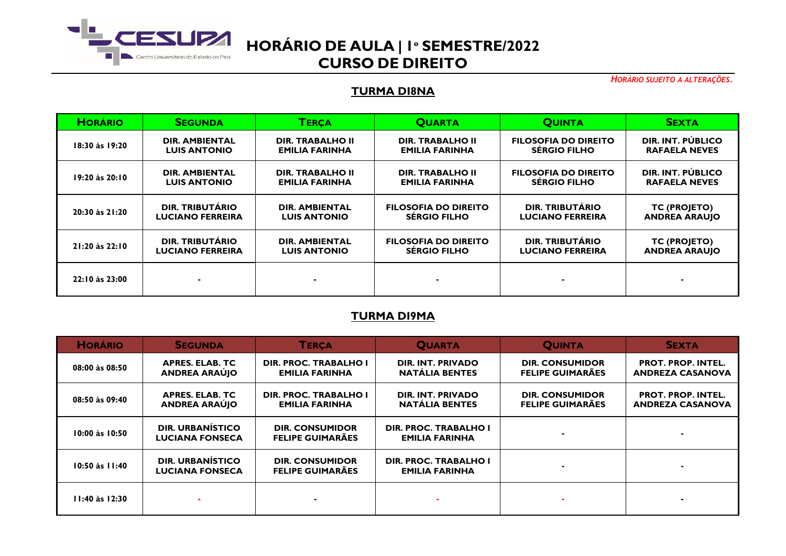

*HORÁRIO SUJEITO A ALTERAÇÕES.*

### **TURMA DI8NA**

| <b>HORÁRIO</b>     | <b>SEGUNDA</b>          | <b>TERCA</b>            | <b>QUARTA</b>               | <b>OUINTA</b>               | <b>SEXTA</b>         |
|--------------------|-------------------------|-------------------------|-----------------------------|-----------------------------|----------------------|
| 18:30 às 19:20     | <b>DIR. AMBIENTAL</b>   | <b>DIR. TRABALHO II</b> | <b>DIR. TRABALHO II</b>     | <b>FILOSOFIA DO DIREITO</b> | DIR. INT. PÚBLICO    |
|                    | <b>LUIS ANTONIO</b>     | <b>EMILIA FARINHA</b>   | <b>EMILIA FARINHA</b>       | <b>SÉRGIO FILHO</b>         | <b>RAFAELA NEVES</b> |
| 19:20 às 20:10     | <b>DIR. AMBIENTAL</b>   | <b>DIR. TRABALHO II</b> | <b>DIR. TRABALHO II</b>     | <b>FILOSOFIA DO DIREITO</b> | DIR. INT. PÚBLICO    |
|                    | <b>LUIS ANTONIO</b>     | <b>EMILIA FARINHA</b>   | <b>EMILIA FARINHA</b>       | <b>SÉRGIO FILHO</b>         | <b>RAFAELA NEVES</b> |
| 20:30 às 21:20     | <b>DIR. TRIBUTÁRIO</b>  | <b>DIR. AMBIENTAL</b>   | <b>FILOSOFIA DO DIREITO</b> | DIR. TRIBUTÁRIO             | TC (PROJETO)         |
|                    | <b>LUCIANO FERREIRA</b> | <b>LUIS ANTONIO</b>     | <b>SÉRGIO FILHO</b>         | <b>LUCIANO FERREIRA</b>     | <b>ANDREA ARAUJO</b> |
| $21:20$ às $22:10$ | <b>DIR. TRIBUTÁRIO</b>  | <b>DIR. AMBIENTAL</b>   | <b>FILOSOFIA DO DIREITO</b> | DIR. TRIBUTÁRIO             | TC (PROJETO)         |
|                    | <b>LUCIANO FERREIRA</b> | <b>LUIS ANTONIO</b>     | <b>SÉRGIO FILHO</b>         | <b>LUCIANO FERREIRA</b>     | <b>ANDREA ARAUJO</b> |
| 22:10 às 23:00     |                         | ۰                       |                             |                             | -                    |

### **TURMA DI9MA**

| <b>HORÁRIO</b>     | <b>SEGUNDA</b>                                    | <b>TERCA</b>                                          | <b>QUARTA</b>                                     | <b>QUINTA</b>                                     | <b>SEXTA</b>                                         |
|--------------------|---------------------------------------------------|-------------------------------------------------------|---------------------------------------------------|---------------------------------------------------|------------------------------------------------------|
| 08:00 às 08:50     | <b>APRES, ELAB, TC</b><br><b>ANDREA ARAÚJO</b>    | DIR. PROC. TRABALHO I<br><b>EMILIA FARINHA</b>        | DIR. INT. PRIVADO<br><b>NATÁLIA BENTES</b>        | <b>DIR. CONSUMIDOR</b><br><b>FELIPE GUIMARÃES</b> | <b>PROT. PROP. INTEL.</b><br><b>ANDREZA CASANOVA</b> |
| 08:50 às 09:40     | <b>APRES. ELAB. TC</b><br><b>ANDREA ARAÚIO</b>    | <b>DIR. PROC. TRABALHO I</b><br><b>EMILIA FARINHA</b> | <b>DIR. INT. PRIVADO</b><br><b>NATÁLIA BENTES</b> | <b>DIR. CONSUMIDOR</b><br><b>FELIPE GUIMARÃES</b> | <b>PROT. PROP. INTEL.</b><br><b>ANDREZA CASANOVA</b> |
| 10:00 às 10:50     | <b>DIR. URBANÍSTICO</b><br><b>LUCIANA FONSECA</b> | <b>DIR. CONSUMIDOR</b><br><b>FELIPE GUIMARÃES</b>     | DIR. PROC. TRABALHO I<br><b>EMILIA FARINHA</b>    |                                                   |                                                      |
| 10:50 às 11:40     | <b>DIR. URBANÍSTICO</b><br><b>LUCIANA FONSECA</b> | <b>DIR. CONSUMIDOR</b><br><b>FELIPE GUIMARÃES</b>     | DIR. PROC. TRABALHO I<br><b>EMILIA FARINHA</b>    |                                                   |                                                      |
| $11:40$ às $12:30$ |                                                   |                                                       |                                                   |                                                   |                                                      |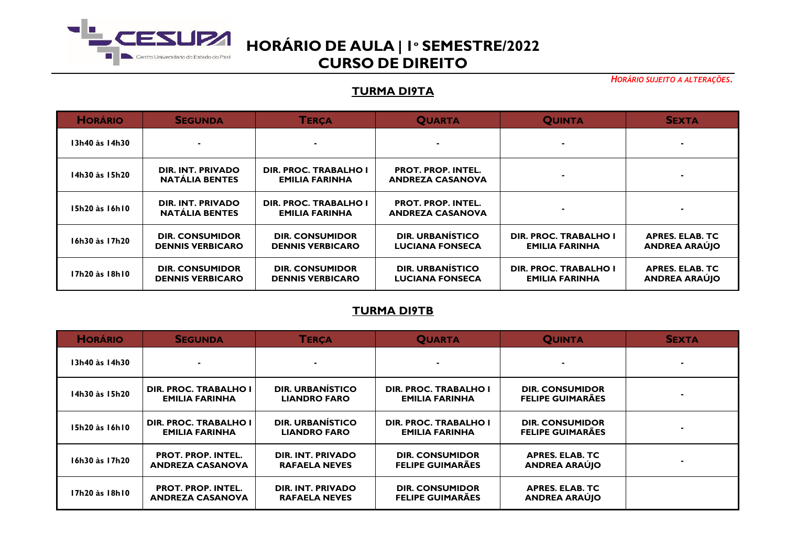

*HORÁRIO SUJEITO A ALTERAÇÕES.*

### **TURMA DI9TA**

| <b>HORÁRIO</b> | <b>SEGUNDA</b>                                    | <b>TERCA</b>                                      | <b>QUARTA</b>                                        | <b>QUINTA</b>                                         | <b>SEXTA</b>                                   |
|----------------|---------------------------------------------------|---------------------------------------------------|------------------------------------------------------|-------------------------------------------------------|------------------------------------------------|
| I3h40 às 14h30 |                                                   |                                                   |                                                      |                                                       |                                                |
| 14h30 às 15h20 | DIR. INT. PRIVADO<br><b>NATÁLIA BENTES</b>        | DIR. PROC. TRABALHO I<br><b>EMILIA FARINHA</b>    | <b>PROT. PROP. INTEL.</b><br><b>ANDREZA CASANOVA</b> |                                                       |                                                |
| 15h20 às 16h10 | DIR. INT. PRIVADO<br><b>NATÁLIA BENTES</b>        | DIR. PROC. TRABALHO I<br><b>EMILIA FARINHA</b>    | <b>PROT. PROP. INTEL.</b><br><b>ANDREZA CASANOVA</b> |                                                       |                                                |
| 16h30 às 17h20 | <b>DIR. CONSUMIDOR</b><br><b>DENNIS VERBICARO</b> | <b>DIR. CONSUMIDOR</b><br><b>DENNIS VERBICARO</b> | DIR. URBANÍSTICO<br><b>LUCIANA FONSECA</b>           | <b>DIR. PROC. TRABALHO I</b><br><b>EMILIA FARINHA</b> | <b>APRES. ELAB. TC</b><br><b>ANDREA ARAÚJO</b> |
| I7h20 às 18h10 | <b>DIR. CONSUMIDOR</b><br><b>DENNIS VERBICARO</b> | <b>DIR. CONSUMIDOR</b><br><b>DENNIS VERBICARO</b> | <b>DIR. URBANÍSTICO</b><br><b>LUCIANA FONSECA</b>    | DIR. PROC. TRABALHO I<br><b>EMILIA FARINHA</b>        | <b>APRES. ELAB. TC</b><br><b>ANDREA ARAÚJO</b> |

### **TURMA DI9TB**

| <b>HORÁRIO</b> | <b>SEGUNDA</b>                                       | <b>TERÇA</b>                                   | <b>QUARTA</b>                                     | <b>QUINTA</b>                                     | <b>SEXTA</b> |
|----------------|------------------------------------------------------|------------------------------------------------|---------------------------------------------------|---------------------------------------------------|--------------|
| 13h40 às 14h30 |                                                      | ۰                                              |                                                   |                                                   |              |
| 14h30 às 15h20 | DIR. PROC. TRABALHO I<br><b>EMILIA FARINHA</b>       | <b>DIR. URBANÍSTICO</b><br><b>LIANDRO FARO</b> | DIR. PROC. TRABALHO I<br><b>EMILIA FARINHA</b>    | <b>DIR. CONSUMIDOR</b><br><b>FELIPE GUIMARÃES</b> |              |
| 15h20 às 16h10 | <b>DIR. PROC. TRABALHO I</b><br>EMILIA FARINHA       | <b>DIR. URBANÍSTICO</b><br><b>LIANDRO FARO</b> | DIR. PROC. TRABALHO I<br><b>EMILIA FARINHA</b>    | <b>DIR. CONSUMIDOR</b><br><b>FELIPE GUIMARÃES</b> |              |
| 16h30 às 17h20 | <b>PROT. PROP. INTEL.</b><br><b>ANDREZA CASANOVA</b> | DIR. INT. PRIVADO<br><b>RAFAELA NEVES</b>      | <b>DIR. CONSUMIDOR</b><br><b>FELIPE GUIMARÃES</b> | <b>APRES, ELAB, TC</b><br><b>ANDREA ARAÚJO</b>    |              |
| 17h20 às 18h10 | <b>PROT. PROP. INTEL.</b><br><b>ANDREZA CASANOVA</b> | DIR. INT. PRIVADO<br><b>RAFAELA NEVES</b>      | <b>DIR. CONSUMIDOR</b><br><b>FELIPE GUIMARÃES</b> | <b>APRES. ELAB. TC</b><br><b>ANDREA ARAÚJO</b>    |              |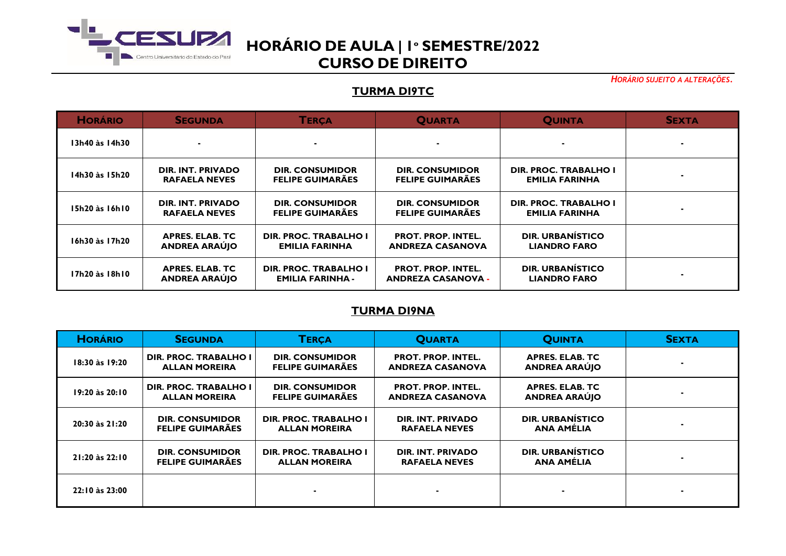

*HORÁRIO SUJEITO A ALTERAÇÕES.*

## **TURMA DI9TC**

| <b>HORÁRIO</b> | <b>SEGUNDA</b>                                 | <b>TERÇA</b>                                          | <b>QUARTA</b>                                          | <b>QUINTA</b>                                         | <b>SEXTA</b> |
|----------------|------------------------------------------------|-------------------------------------------------------|--------------------------------------------------------|-------------------------------------------------------|--------------|
| 13h40 às 14h30 |                                                | ۰.                                                    |                                                        |                                                       |              |
| 14h30 às 15h20 | DIR. INT. PRIVADO<br><b>RAFAELA NEVES</b>      | <b>DIR. CONSUMIDOR</b><br><b>FELIPE GUIMARÃES</b>     | <b>DIR. CONSUMIDOR</b><br><b>FELIPE GUIMARÃES</b>      | DIR. PROC. TRABALHO I<br><b>EMILIA FARINHA</b>        |              |
| 15h20 às 16h10 | DIR. INT. PRIVADO<br><b>RAFAELA NEVES</b>      | <b>DIR. CONSUMIDOR</b><br><b>FELIPE GUIMARÃES</b>     | <b>DIR. CONSUMIDOR</b><br><b>FELIPE GUIMARÃES</b>      | <b>DIR. PROC. TRABALHO I</b><br><b>EMILIA FARINHA</b> |              |
| 16h30 às 17h20 | <b>APRES. ELAB. TC</b><br><b>ANDREA ARAÚJO</b> | <b>DIR. PROC. TRABALHO I</b><br><b>EMILIA FARINHA</b> | <b>PROT. PROP. INTEL.</b><br><b>ANDREZA CASANOVA</b>   | <b>DIR. URBANÍSTICO</b><br><b>LIANDRO FARO</b>        |              |
| 17h20 às 18h10 | <b>APRES. ELAB. TC</b><br><b>ANDREA ARAÚJO</b> | DIR. PROC. TRABALHO I<br><b>EMILIA FARINHA -</b>      | <b>PROT. PROP. INTEL.</b><br><b>ANDREZA CASANOVA -</b> | <b>DIR. URBANÍSTICO</b><br><b>LIANDRO FARO</b>        |              |

#### **TURMA DI9NA**

| <b>HORÁRIO</b> | <b>SEGUNDA</b>                                       | <b>TERCA</b>                                         | <b>QUARTA</b>                                        | <b>QUINTA</b>                                  | <b>SEXTA</b> |
|----------------|------------------------------------------------------|------------------------------------------------------|------------------------------------------------------|------------------------------------------------|--------------|
| 18:30 às 19:20 | <b>DIR. PROC. TRABALHO I</b><br><b>ALLAN MOREIRA</b> | <b>DIR. CONSUMIDOR</b><br><b>FELIPE GUIMARÃES</b>    | <b>PROT. PROP. INTEL.</b><br><b>ANDREZA CASANOVA</b> | <b>APRES. ELAB. TC</b><br><b>ANDREA ARAUJO</b> |              |
| 19:20 às 20:10 | <b>DIR. PROC. TRABALHO I</b><br><b>ALLAN MOREIRA</b> | <b>DIR. CONSUMIDOR</b><br><b>FELIPE GUIMARÃES</b>    | <b>PROT. PROP. INTEL.</b><br><b>ANDREZA CASANOVA</b> | <b>APRES. ELAB. TC</b><br><b>ANDREA ARAÚJO</b> |              |
| 20:30 às 21:20 | <b>DIR. CONSUMIDOR</b><br><b>FELIPE GUIMARÃES</b>    | <b>DIR. PROC. TRABALHO I</b><br><b>ALLAN MOREIRA</b> | DIR. INT. PRIVADO<br><b>RAFAELA NEVES</b>            | <b>DIR. URBANÍSTICO</b><br>ANA AMÉLIA          |              |
| 21:20 às 22:10 | <b>DIR. CONSUMIDOR</b><br><b>FELIPE GUIMARÃES</b>    | <b>DIR. PROC. TRABALHO I</b><br><b>ALLAN MOREIRA</b> | DIR. INT. PRIVADO<br><b>RAFAELA NEVES</b>            | DIR. URBANÍSTICO<br>ANA AMÉLIA                 |              |
| 22:10 às 23:00 |                                                      |                                                      |                                                      |                                                |              |